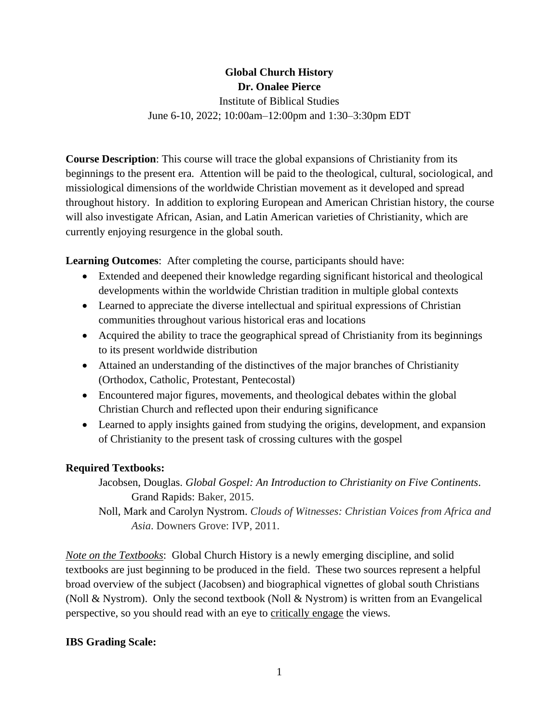### **Global Church History Dr. Onalee Pierce**

Institute of Biblical Studies June 6-10, 2022; 10:00am–12:00pm and 1:30–3:30pm EDT

**Course Description**: This course will trace the global expansions of Christianity from its beginnings to the present era. Attention will be paid to the theological, cultural, sociological, and missiological dimensions of the worldwide Christian movement as it developed and spread throughout history. In addition to exploring European and American Christian history, the course will also investigate African, Asian, and Latin American varieties of Christianity, which are currently enjoying resurgence in the global south.

**Learning Outcomes**: After completing the course, participants should have:

- Extended and deepened their knowledge regarding significant historical and theological developments within the worldwide Christian tradition in multiple global contexts
- Learned to appreciate the diverse intellectual and spiritual expressions of Christian communities throughout various historical eras and locations
- Acquired the ability to trace the geographical spread of Christianity from its beginnings to its present worldwide distribution
- Attained an understanding of the distinctives of the major branches of Christianity (Orthodox, Catholic, Protestant, Pentecostal)
- Encountered major figures, movements, and theological debates within the global Christian Church and reflected upon their enduring significance
- Learned to apply insights gained from studying the origins, development, and expansion of Christianity to the present task of crossing cultures with the gospel

## **Required Textbooks:**

- Jacobsen, Douglas. *Global Gospel: An Introduction to Christianity on Five Continents*. Grand Rapids: Baker, 2015.
- Noll, Mark and Carolyn Nystrom. *Clouds of Witnesses: Christian Voices from Africa and Asia*. Downers Grove: IVP, 2011.

*Note on the Textbooks*: Global Church History is a newly emerging discipline, and solid textbooks are just beginning to be produced in the field. These two sources represent a helpful broad overview of the subject (Jacobsen) and biographical vignettes of global south Christians (Noll & Nystrom). Only the second textbook (Noll & Nystrom) is written from an Evangelical perspective, so you should read with an eye to critically engage the views.

## **IBS Grading Scale:**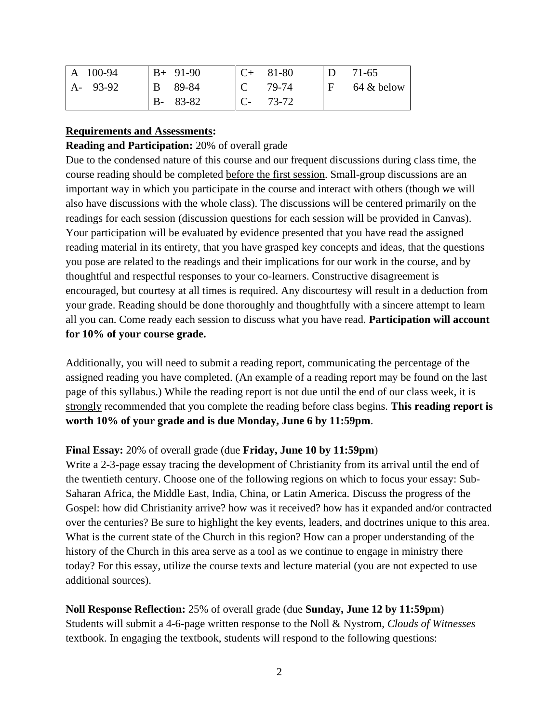| $\vert$ A 100-94 | $B+91-90$     |      | $C+81-80$ | D            | 71-65         |
|------------------|---------------|------|-----------|--------------|---------------|
| $A - 93-92$      | B 89-84       |      | 79-74     | $\mathbf{F}$ | $64 \&$ below |
|                  | $B - 83 - 82$ | $C-$ | 73-72     |              |               |

#### **Requirements and Assessments:**

#### **Reading and Participation:** 20% of overall grade

Due to the condensed nature of this course and our frequent discussions during class time, the course reading should be completed before the first session. Small-group discussions are an important way in which you participate in the course and interact with others (though we will also have discussions with the whole class). The discussions will be centered primarily on the readings for each session (discussion questions for each session will be provided in Canvas). Your participation will be evaluated by evidence presented that you have read the assigned reading material in its entirety, that you have grasped key concepts and ideas, that the questions you pose are related to the readings and their implications for our work in the course, and by thoughtful and respectful responses to your co-learners. Constructive disagreement is encouraged, but courtesy at all times is required. Any discourtesy will result in a deduction from your grade. Reading should be done thoroughly and thoughtfully with a sincere attempt to learn all you can. Come ready each session to discuss what you have read. **Participation will account for 10% of your course grade.**

Additionally, you will need to submit a reading report, communicating the percentage of the assigned reading you have completed. (An example of a reading report may be found on the last page of this syllabus.) While the reading report is not due until the end of our class week, it is strongly recommended that you complete the reading before class begins. **This reading report is worth 10% of your grade and is due Monday, June 6 by 11:59pm**.

#### **Final Essay:** 20% of overall grade (due **Friday, June 10 by 11:59pm**)

Write a 2-3-page essay tracing the development of Christianity from its arrival until the end of the twentieth century. Choose one of the following regions on which to focus your essay: Sub-Saharan Africa, the Middle East, India, China, or Latin America. Discuss the progress of the Gospel: how did Christianity arrive? how was it received? how has it expanded and/or contracted over the centuries? Be sure to highlight the key events, leaders, and doctrines unique to this area. What is the current state of the Church in this region? How can a proper understanding of the history of the Church in this area serve as a tool as we continue to engage in ministry there today? For this essay, utilize the course texts and lecture material (you are not expected to use additional sources).

**Noll Response Reflection:** 25% of overall grade (due **Sunday, June 12 by 11:59pm**) Students will submit a 4-6-page written response to the Noll & Nystrom, *Clouds of Witnesses* textbook. In engaging the textbook, students will respond to the following questions: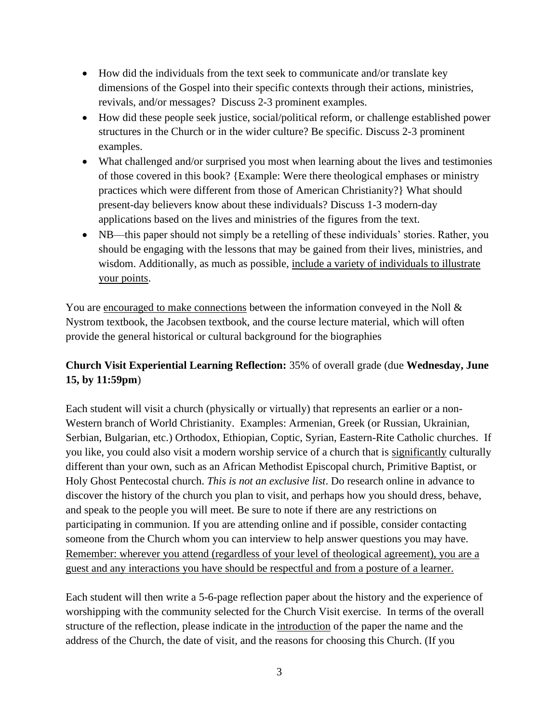- How did the individuals from the text seek to communicate and/or translate key dimensions of the Gospel into their specific contexts through their actions, ministries, revivals, and/or messages? Discuss 2-3 prominent examples.
- How did these people seek justice, social/political reform, or challenge established power structures in the Church or in the wider culture? Be specific. Discuss 2-3 prominent examples.
- What challenged and/or surprised you most when learning about the lives and testimonies of those covered in this book? {Example: Were there theological emphases or ministry practices which were different from those of American Christianity?} What should present-day believers know about these individuals? Discuss 1-3 modern-day applications based on the lives and ministries of the figures from the text.
- NB—this paper should not simply be a retelling of these individuals' stories. Rather, you should be engaging with the lessons that may be gained from their lives, ministries, and wisdom. Additionally, as much as possible, include a variety of individuals to illustrate your points.

You are encouraged to make connections between the information conveyed in the Noll & Nystrom textbook, the Jacobsen textbook, and the course lecture material, which will often provide the general historical or cultural background for the biographies

## **Church Visit Experiential Learning Reflection:** 35% of overall grade (due **Wednesday, June 15, by 11:59pm**)

Each student will visit a church (physically or virtually) that represents an earlier or a non-Western branch of World Christianity. Examples: Armenian, Greek (or Russian, Ukrainian, Serbian, Bulgarian, etc.) Orthodox, Ethiopian, Coptic, Syrian, Eastern-Rite Catholic churches. If you like, you could also visit a modern worship service of a church that is significantly culturally different than your own, such as an African Methodist Episcopal church, Primitive Baptist, or Holy Ghost Pentecostal church. *This is not an exclusive list*. Do research online in advance to discover the history of the church you plan to visit, and perhaps how you should dress, behave, and speak to the people you will meet. Be sure to note if there are any restrictions on participating in communion. If you are attending online and if possible, consider contacting someone from the Church whom you can interview to help answer questions you may have. Remember: wherever you attend (regardless of your level of theological agreement), you are a guest and any interactions you have should be respectful and from a posture of a learner.

Each student will then write a 5-6-page reflection paper about the history and the experience of worshipping with the community selected for the Church Visit exercise. In terms of the overall structure of the reflection, please indicate in the introduction of the paper the name and the address of the Church, the date of visit, and the reasons for choosing this Church. (If you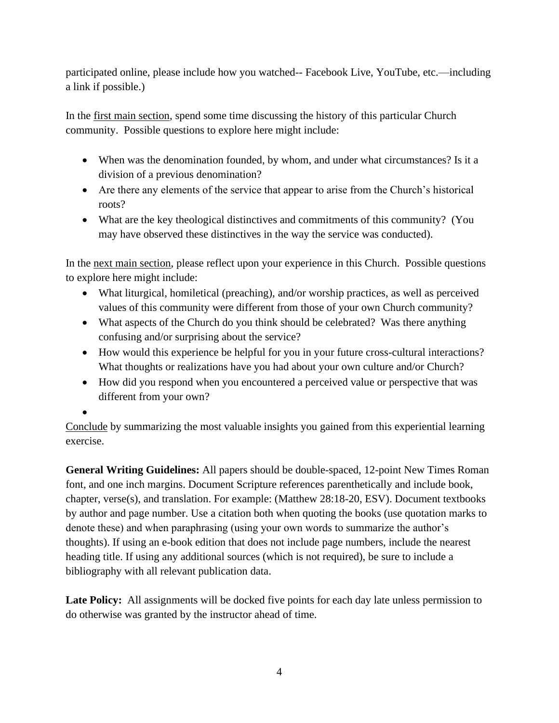participated online, please include how you watched-- Facebook Live, YouTube, etc.—including a link if possible.)

In the first main section, spend some time discussing the history of this particular Church community. Possible questions to explore here might include:

- When was the denomination founded, by whom, and under what circumstances? Is it a division of a previous denomination?
- Are there any elements of the service that appear to arise from the Church's historical roots?
- What are the key theological distinctives and commitments of this community? (You may have observed these distinctives in the way the service was conducted).

In the next main section, please reflect upon your experience in this Church. Possible questions to explore here might include:

- What liturgical, homiletical (preaching), and/or worship practices, as well as perceived values of this community were different from those of your own Church community?
- What aspects of the Church do you think should be celebrated? Was there anything confusing and/or surprising about the service?
- How would this experience be helpful for you in your future cross-cultural interactions? What thoughts or realizations have you had about your own culture and/or Church?
- How did you respond when you encountered a perceived value or perspective that was different from your own?

•

Conclude by summarizing the most valuable insights you gained from this experiential learning exercise.

**General Writing Guidelines:** All papers should be double-spaced, 12-point New Times Roman font, and one inch margins. Document Scripture references parenthetically and include book, chapter, verse(s), and translation. For example: (Matthew 28:18-20, ESV). Document textbooks by author and page number. Use a citation both when quoting the books (use quotation marks to denote these) and when paraphrasing (using your own words to summarize the author's thoughts). If using an e-book edition that does not include page numbers, include the nearest heading title. If using any additional sources (which is not required), be sure to include a bibliography with all relevant publication data.

Late Policy: All assignments will be docked five points for each day late unless permission to do otherwise was granted by the instructor ahead of time.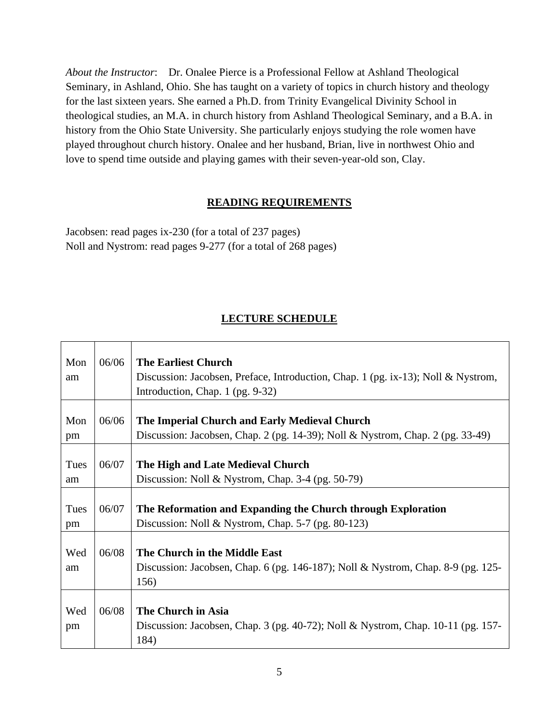*About the Instructor*: Dr. Onalee Pierce is a Professional Fellow at Ashland Theological Seminary, in Ashland, Ohio. She has taught on a variety of topics in church history and theology for the last sixteen years. She earned a Ph.D. from Trinity Evangelical Divinity School in theological studies, an M.A. in church history from Ashland Theological Seminary, and a B.A. in history from the Ohio State University. She particularly enjoys studying the role women have played throughout church history. Onalee and her husband, Brian, live in northwest Ohio and love to spend time outside and playing games with their seven-year-old son, Clay.

### **READING REQUIREMENTS**

Jacobsen: read pages ix-230 (for a total of 237 pages) Noll and Nystrom: read pages 9-277 (for a total of 268 pages)

# **LECTURE SCHEDULE**

| Mon<br>am  | 06/06 | <b>The Earliest Church</b><br>Discussion: Jacobsen, Preface, Introduction, Chap. 1 (pg. ix-13); Noll & Nystrom,<br>Introduction, Chap. 1 (pg. 9-32) |
|------------|-------|-----------------------------------------------------------------------------------------------------------------------------------------------------|
| Mon<br>pm  | 06/06 | The Imperial Church and Early Medieval Church<br>Discussion: Jacobsen, Chap. 2 (pg. 14-39); Noll & Nystrom, Chap. 2 (pg. 33-49)                     |
| Tues<br>am | 06/07 | The High and Late Medieval Church<br>Discussion: Noll & Nystrom, Chap. 3-4 (pg. 50-79)                                                              |
| Tues<br>pm | 06/07 | The Reformation and Expanding the Church through Exploration<br>Discussion: Noll & Nystrom, Chap. $5-7$ (pg. 80-123)                                |
| Wed<br>am  | 06/08 | The Church in the Middle East<br>Discussion: Jacobsen, Chap. 6 (pg. 146-187); Noll & Nystrom, Chap. 8-9 (pg. 125-<br>156)                           |
| Wed<br>pm  | 06/08 | The Church in Asia<br>Discussion: Jacobsen, Chap. 3 (pg. 40-72); Noll & Nystrom, Chap. 10-11 (pg. 157-<br>184)                                      |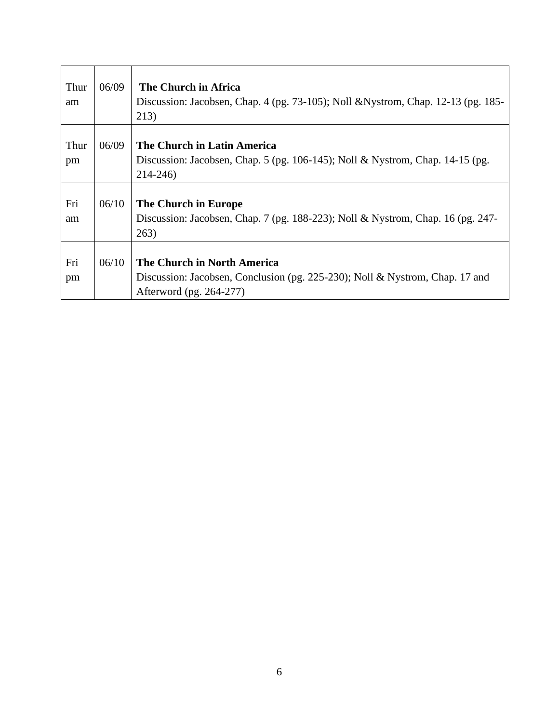| Thur<br>am | 06/09 | The Church in Africa<br>Discussion: Jacobsen, Chap. 4 (pg. 73-105); Noll & Nystrom, Chap. 12-13 (pg. 185-<br>213)                      |
|------------|-------|----------------------------------------------------------------------------------------------------------------------------------------|
| Thur<br>pm | 06/09 | The Church in Latin America<br>Discussion: Jacobsen, Chap. 5 (pg. 106-145); Noll & Nystrom, Chap. 14-15 (pg.<br>$214 - 246$            |
| Fri<br>am  | 06/10 | The Church in Europe<br>Discussion: Jacobsen, Chap. 7 (pg. 188-223); Noll & Nystrom, Chap. 16 (pg. 247-<br>263)                        |
| Fri<br>pm  | 06/10 | The Church in North America<br>Discussion: Jacobsen, Conclusion (pg. 225-230); Noll & Nystrom, Chap. 17 and<br>Afterword (pg. 264-277) |